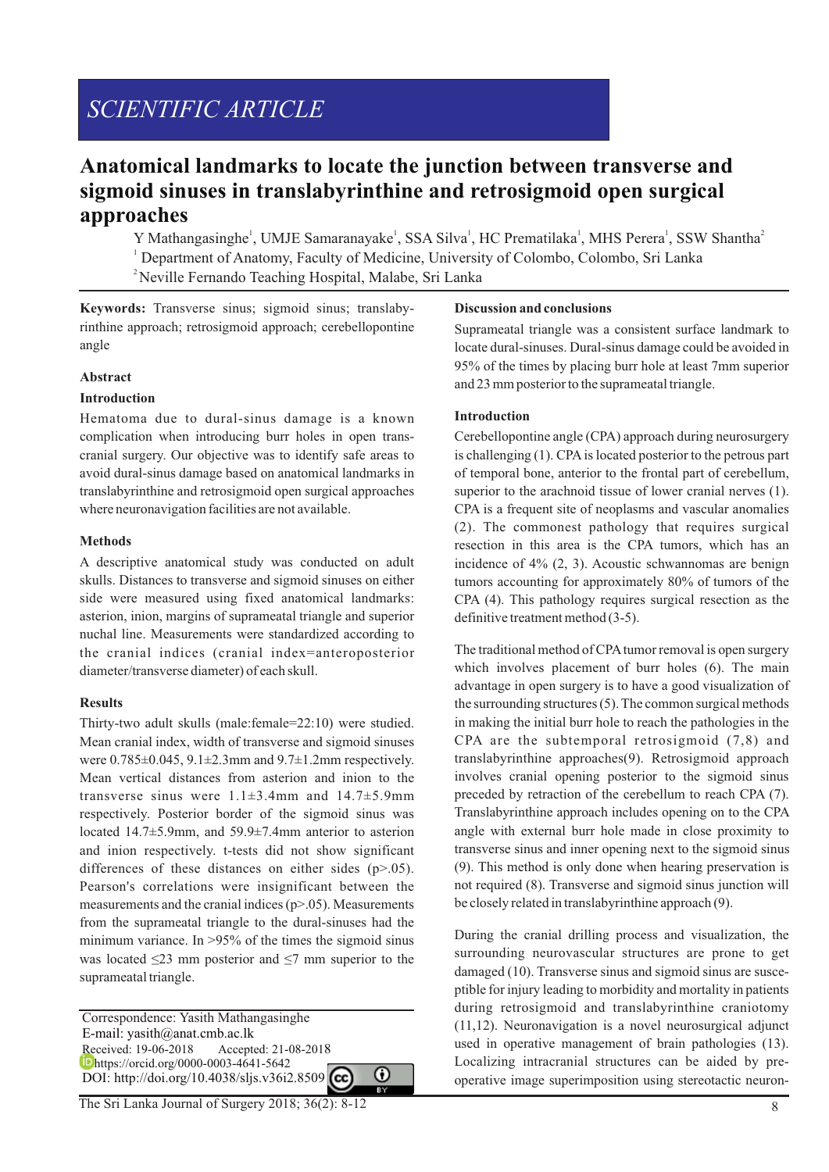# *SCIENTIFIC ARTICLE*

# **Anatomical landmarks to locate the junction between transverse and sigmoid sinuses in translabyrinthine and retrosigmoid open surgical approaches**

Y Mathangasinghe<sup>1</sup>, UMJE Samaranayake<sup>1</sup>, SSA Silva<sup>1</sup>, HC Prematilaka<sup>1</sup>, MHS Perera<sup>1</sup>, SSW Shantha<sup>2</sup> <sup>1</sup> Department of Anatomy, Faculty of Medicine, University of Colombo, Colombo, Sri Lanka <sup>2</sup> Neville Fernando Teaching Hospital, Malabe, Sri Lanka

**Keywords:** Transverse sinus; sigmoid sinus; translabyrinthine approach; retrosigmoid approach; cerebellopontine angle

#### **Abstract**

### **Introduction**

Hematoma due to dural-sinus damage is a known complication when introducing burr holes in open transcranial surgery. Our objective was to identify safe areas to avoid dural-sinus damage based on anatomical landmarks in translabyrinthine and retrosigmoid open surgical approaches where neuronavigation facilities are not available.

### **Methods**

A descriptive anatomical study was conducted on adult skulls. Distances to transverse and sigmoid sinuses on either side were measured using fixed anatomical landmarks: asterion, inion, margins of suprameatal triangle and superior nuchal line. Measurements were standardized according to the cranial indices (cranial index=anteroposterior diameter/transverse diameter) of each skull.

# **Results**

Thirty-two adult skulls (male:female=22:10) were studied. Mean cranial index, width of transverse and sigmoid sinuses were  $0.785 \pm 0.045$ ,  $9.1 \pm 2.3$  mm and  $9.7 \pm 1.2$  mm respectively. Mean vertical distances from asterion and inion to the transverse sinus were 1.1±3.4mm and 14.7±5.9mm respectively. Posterior border of the sigmoid sinus was located 14.7±5.9mm, and 59.9±7.4mm anterior to asterion and inion respectively. t-tests did not show significant differences of these distances on either sides  $(p>0.05)$ . Pearson's correlations were insignificant between the measurements and the cranial indices (p>.05). Measurements from the suprameatal triangle to the dural-sinuses had the minimum variance. In  $>95\%$  of the times the sigmoid sinus was located  $\leq$ 23 mm posterior and  $\leq$ 7 mm superior to the suprameatal triangle.

 Correspondence: Yasith Mathangasinghe E-mail: yasith@anat.cmb.ac.lk<br>Received: 19-06-2018 Accepte Received: 19-06-2018 Accepted: 21-08-2018 https://orcid.org/0000-0003-4641-5642 DOI: http://doi.org/10.4038/sljs.v36i2.8509

⋒

#### **Discussion and conclusions**

Suprameatal triangle was a consistent surface landmark to locate dural-sinuses. Dural-sinus damage could be avoided in 95% of the times by placing burr hole at least 7mm superior and 23 mm posterior to the suprameatal triangle.

### **Introduction**

Cerebellopontine angle (CPA) approach during neurosurgery is challenging  $(1)$ . CPA is located posterior to the petrous part of temporal bone, anterior to the frontal part of cerebellum, superior to the arachnoid tissue of lower cranial nerves  $(1)$ . CPA is a frequent site of neoplasms and vascular anomalies (2). The commonest pathology that requires surgical resection in this area is the CPA tumors, which has an incidence of 4% (2, 3). Acoustic schwannomas are benign tumors accounting for approximately 80% of tumors of the CPA (4). This pathology requires surgical resection as the definitive treatment method (3-5).

The traditional method of CPA tumor removal is open surgery which involves placement of burr holes (6). The main advantage in open surgery is to have a good visualization of the surrounding structures (5). The common surgical methods in making the initial burr hole to reach the pathologies in the CPA are the subtemporal retrosigmoid (7,8) and translabyrinthine approaches(9). Retrosigmoid approach involves cranial opening posterior to the sigmoid sinus preceded by retraction of the cerebellum to reach CPA (7). Translabyrinthine approach includes opening on to the CPA angle with external burr hole made in close proximity to transverse sinus and inner opening next to the sigmoid sinus (9). This method is only done when hearing preservation is not required (8). Transverse and sigmoid sinus junction will be closely related in translabyrinthine approach (9).

During the cranial drilling process and visualization, the surrounding neurovascular structures are prone to get damaged (10). Transverse sinus and sigmoid sinus are susceptible for injury leading to morbidity and mortality in patients during retrosigmoid and translabyrinthine craniotomy (11,12). Neuronavigation is a novel neurosurgical adjunct used in operative management of brain pathologies (13). Localizing intracranial structures can be aided by preoperative image superimposition using stereotactic neuron-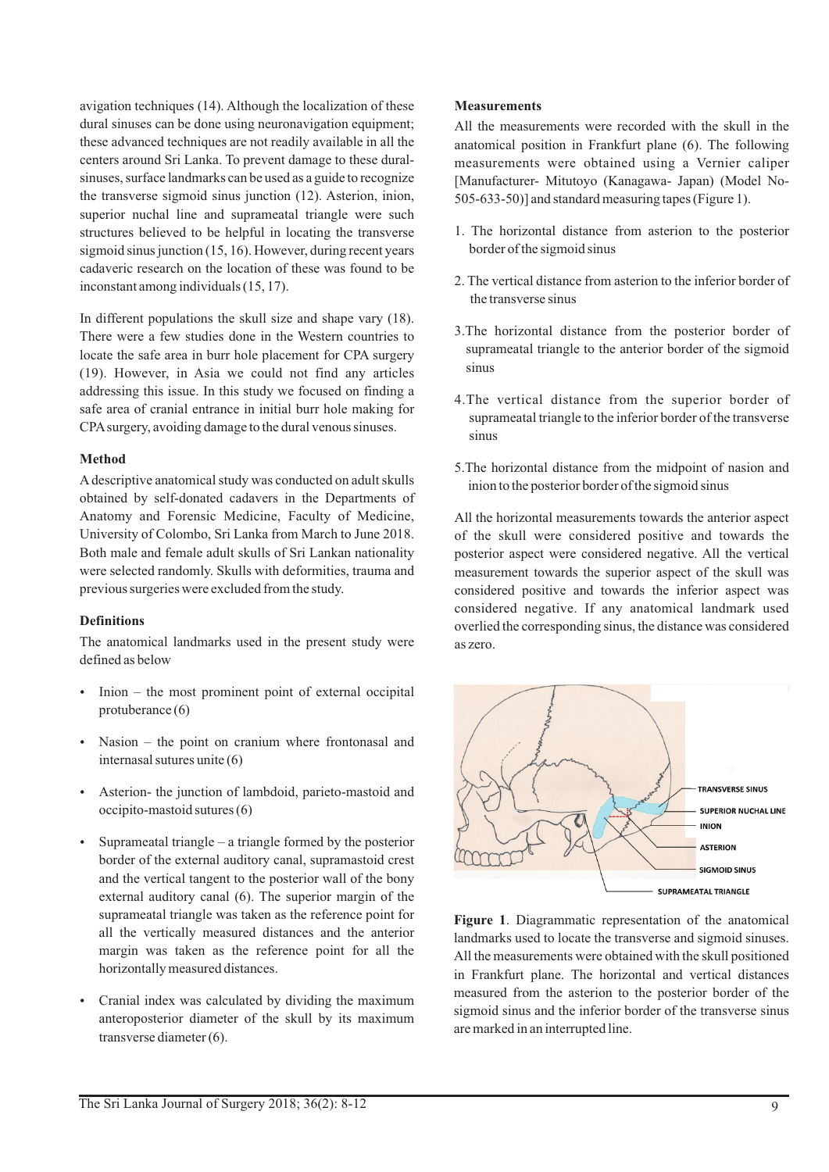avigation techniques (14). Although the localization of these dural sinuses can be done using neuronavigation equipment; these advanced techniques are not readily available in all the centers around Sri Lanka. To prevent damage to these duralsinuses, surface landmarks can be used as a guide to recognize the transverse sigmoid sinus junction (12). Asterion, inion, superior nuchal line and suprameatal triangle were such structures believed to be helpful in locating the transverse sigmoid sinus junction (15, 16). However, during recent years cadaveric research on the location of these was found to be inconstant among individuals (15, 17).

In different populations the skull size and shape vary (18). There were a few studies done in the Western countries to locate the safe area in burr hole placement for CPA surgery (19). However, in Asia we could not find any articles addressing this issue. In this study we focused on finding a safe area of cranial entrance in initial burr hole making for CPAsurgery, avoiding damage to the dural venous sinuses.

### **Method**

Adescriptive anatomical study was conducted on adult skulls obtained by self-donated cadavers in the Departments of Anatomy and Forensic Medicine, Faculty of Medicine, University of Colombo, Sri Lanka from March to June 2018. Both male and female adult skulls of Sri Lankan nationality were selected randomly. Skulls with deformities, trauma and previous surgeries were excluded from the study.

# **Definitions**

The anatomical landmarks used in the present study were defined as below

- $\bullet$  Inion the most prominent point of external occipital protuberance (6)
- $\bullet$  Nasion the point on cranium where frontonasal and internasal sutures unite (6)
- Asterion- the junction of lambdoid, parieto-mastoid and occipito-mastoid sutures (6)
- $\bullet$  Suprameatal triangle a triangle formed by the posterior border of the external auditory canal, supramastoid crest and the vertical tangent to the posterior wall of the bony external auditory canal (6). The superior margin of the suprameatal triangle was taken as the reference point for all the vertically measured distances and the anterior margin was taken as the reference point for all the horizontally measured distances.
- Cranial index was calculated by dividing the maximum anteroposterior diameter of the skull by its maximum transverse diameter (6).

# **Measurements**

All the measurements were recorded with the skull in the anatomical position in Frankfurt plane (6). The following measurements were obtained using a Vernier caliper [Manufacturer- Mitutoyo (Kanagawa- Japan) (Model No-505-633-50)] and standard measuring tapes (Figure 1).

- 1. The horizontal distance from asterion to the posterior border of the sigmoid sinus
- 2. The vertical distance from asterion to the inferior border of the transverse sinus
- 3.The horizontal distance from the posterior border of suprameatal triangle to the anterior border of the sigmoid sinus
- 4.The vertical distance from the superior border of suprameatal triangle to the inferior border of the transverse sinus
- 5.The horizontal distance from the midpoint of nasion and inion to the posterior border of the sigmoid sinus

All the horizontal measurements towards the anterior aspect of the skull were considered positive and towards the posterior aspect were considered negative. All the vertical measurement towards the superior aspect of the skull was considered positive and towards the inferior aspect was considered negative. If any anatomical landmark used overlied the corresponding sinus, the distance was considered as zero.



**Figure 1**. Diagrammatic representation of the anatomical landmarks used to locate the transverse and sigmoid sinuses. All the measurements were obtained with the skull positioned in Frankfurt plane. The horizontal and vertical distances measured from the asterion to the posterior border of the sigmoid sinus and the inferior border of the transverse sinus are marked in an interrupted line.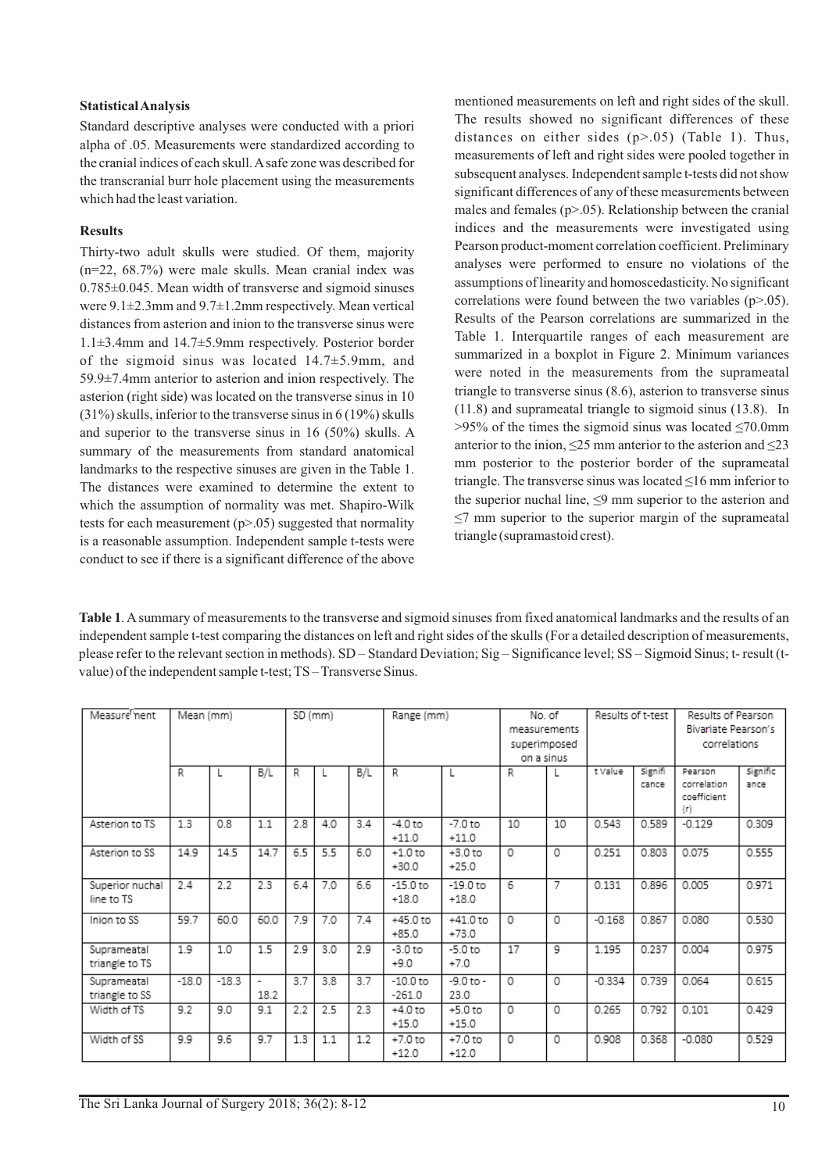### **Statistical Analysis**

Standard descriptive analyses were conducted with a priori alpha of .05. Measurements were standardized according to the cranial indices of each skull. Asafe zone was described for the transcranial burr hole placement using the measurements which had the least variation.

# **Results**

Thirty-two adult skulls were studied. Of them, majority (n=22, 68.7%) were male skulls. Mean cranial index was 0.785±0.045. Mean width of transverse and sigmoid sinuses were 9.1±2.3mm and 9.7±1.2mm respectively. Mean vertical distances from asterion and inion to the transverse sinus were 1.1±3.4mm and 14.7±5.9mm respectively. Posterior border of the sigmoid sinus was located 14.7±5.9mm, and 59.9±7.4mm anterior to asterion and inion respectively. The asterion (right side) was located on the transverse sinus in 10 (31%) skulls, inferior to the transverse sinus in 6 (19%) skulls and superior to the transverse sinus in 16 (50%) skulls. A summary of the measurements from standard anatomical landmarks to the respective sinuses are given in the Table 1. The distances were examined to determine the extent to which the assumption of normality was met. Shapiro-Wilk tests for each measurement  $(p>0.05)$  suggested that normality is a reasonable assumption. Independent sample t-tests were conduct to see if there is a significant difference of the above

mentioned measurements on left and right sides of the skull. The results showed no significant differences of these distances on either sides  $(p>0.05)$  (Table 1). Thus, measurements of left and right sides were pooled together in subsequent analyses. Independent sample t-tests did not show significant differences of any of these measurements between males and females  $(p>0.05)$ . Relationship between the cranial indices and the measurements were investigated using Pearson product-moment correlation coefficient. Preliminary analyses were performed to ensure no violations of the assumptions of linearity and homoscedasticity. No significant correlations were found between the two variables  $(p>0.05)$ . Results of the Pearson correlations are summarized in the Table 1. Interquartile ranges of each measurement are summarized in a boxplot in Figure 2. Minimum variances were noted in the measurements from the suprameatal triangle to transverse sinus (8.6), asterion to transverse sinus (11.8) and suprameatal triangle to sigmoid sinus (13.8). In  $>95\%$  of the times the sigmoid sinus was located  $\leq$ 70.0mm anterior to the inion, ≤25 mm anterior to the asterion and ≤23 mm posterior to the posterior border of the suprameatal triangle. The transverse sinus was located  $\leq 16$  mm inferior to the superior nuchal line, ≤9 mm superior to the asterion and  $\leq$ 7 mm superior to the superior margin of the suprameatal triangle (supramastoid crest).

**Table 1**. Asummary of measurements to the transverse and sigmoid sinuses from fixed anatomical landmarks and the results of an independent sample t-test comparing the distances on left and right sides of the skulls (For a detailed description of measurements, please refer to the relevant section in methods). SD – Standard Deviation; Sig – Significance level; SS – Sigmoid Sinus; t- result (tvalue) of the independent sample t-test; TS – Transverse Sinus.

| Measure nent                  | Mean (mm) |         |            | SD (mm) |     |     | Range (mm)             |                       | No. of<br>measurements<br>superimposed<br>on a sinus |    | Results of t-test |                  | Results of Pearson<br>Bivariate Pearson's<br>correlations |                  |
|-------------------------------|-----------|---------|------------|---------|-----|-----|------------------------|-----------------------|------------------------------------------------------|----|-------------------|------------------|-----------------------------------------------------------|------------------|
|                               | R         |         | B/L        | R       |     | B/L | R                      |                       | R                                                    |    | t Value           | Signifi<br>cance | Pearson<br>correlation<br>coefficient<br>(r)              | Signific<br>ance |
| Asterion to TS                | 1.3       | 0.8     | 1.1        | 2.8     | 4.0 | 3.4 | $-4.0$ to<br>$+11.0$   | $-7.0$ to<br>$+11.0$  | 10                                                   | 10 | 0.543             | 0.589            | $-0.129$                                                  | 0.309            |
| Asterion to SS                | 14.9      | 14.5    | 14.7       | 6.5     | 5.5 | 6.0 | $+1.0$ to<br>$+30.0$   | $+3.0$ to<br>$+25.0$  | 0                                                    | 0  | 0.251             | 0.803            | 0.075                                                     | 0.555            |
| Superior nuchal<br>line to TS | 2.4       | 2.2     | 2.3        | 6.4     | 7.0 | 6.6 | $-15.0$ to<br>$+18.0$  | $-19.0$ to<br>$+18.0$ | 6                                                    | 7  | 0.131             | 0.896            | 0.005                                                     | 0.971            |
| Inion to SS                   | 59.7      | 60.0    | 60.0       | 7.9     | 7.0 | 7.4 | $+45.0t$<br>$+85.0$    | $+41.0$ to<br>$+73.0$ | 0                                                    | 0  | $-0.168$          | 0.867            | 0.080                                                     | 0.530            |
| Suprameatal<br>triangle to TS | 1.9       | 1.0     | 1.5        | 2.9     | 3.0 | 2.9 | $-3.0$ to<br>$+9.0$    | $-5.0$ to<br>$+7.0$   | 17                                                   | 9  | 1.195             | 0.237            | 0.004                                                     | 0.975            |
| Suprameatal<br>triangle to SS | $-18.0$   | $-18.3$ | ۰.<br>18.2 | 3.7     | 3.8 | 3.7 | $-10.0$ to<br>$-261.0$ | $-9.0$ to $-$<br>23.0 | 0                                                    | 0  | $-0.334$          | 0.739            | 0.064                                                     | 0.615            |
| Width of TS                   | 9.2       | 9.0     | 9.1        | 2.2     | 2.5 | 2.3 | $+4.0$ to<br>$+15.0$   | $+5.0$ to<br>$+15.0$  | 0                                                    | 0  | 0.265             | 0.792            | 0.101                                                     | 0.429            |
| Width of SS                   | 9.9       | 9.6     | 9.7        | 1.3     | 1.1 | 1.2 | $+7.0$ to<br>$+12.0$   | $+7.0$ to<br>$+12.0$  | 0                                                    | 0  | 0.908             | 0.368            | $-0.080$                                                  | 0.529            |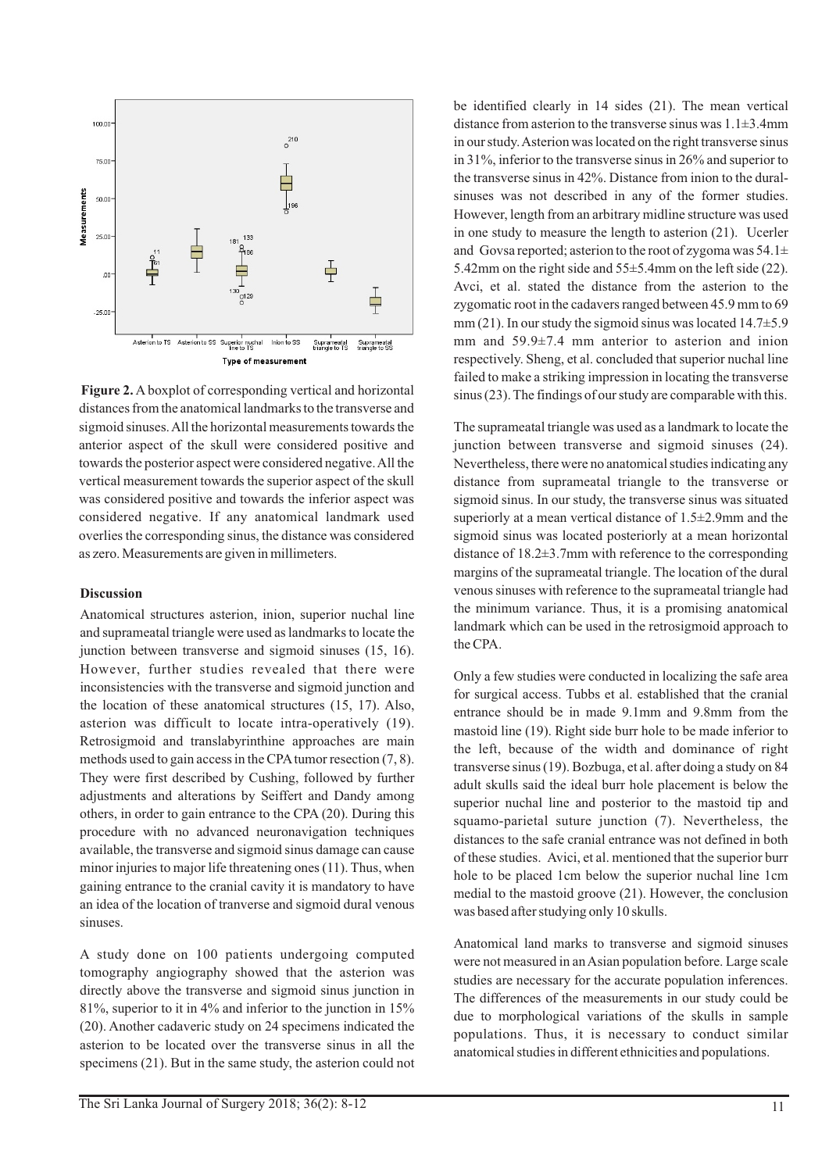

**Figure 2.** A boxplot of corresponding vertical and horizontal distances from the anatomical landmarks to the transverse and sigmoid sinuses. All the horizontal measurements towards the anterior aspect of the skull were considered positive and towards the posterior aspect were considered negative. All the vertical measurement towards the superior aspect of the skull was considered positive and towards the inferior aspect was considered negative. If any anatomical landmark used overlies the corresponding sinus, the distance was considered as zero. Measurements are given in millimeters.

#### **Discussion**

Anatomical structures asterion, inion, superior nuchal line and suprameatal triangle were used as landmarks to locate the junction between transverse and sigmoid sinuses (15, 16). However, further studies revealed that there were inconsistencies with the transverse and sigmoid junction and the location of these anatomical structures (15, 17). Also, asterion was difficult to locate intra-operatively (19). Retrosigmoid and translabyrinthine approaches are main methods used to gain access in the CPA tumor resection  $(7, 8)$ . They were first described by Cushing, followed by further adjustments and alterations by Seiffert and Dandy among others, in order to gain entrance to the CPA (20). During this procedure with no advanced neuronavigation techniques available, the transverse and sigmoid sinus damage can cause minor injuries to major life threatening ones (11). Thus, when gaining entrance to the cranial cavity it is mandatory to have an idea of the location of tranverse and sigmoid dural venous sinuses.

A study done on 100 patients undergoing computed tomography angiography showed that the asterion was directly above the transverse and sigmoid sinus junction in 81%, superior to it in 4% and inferior to the junction in 15% (20). Another cadaveric study on 24 specimens indicated the asterion to be located over the transverse sinus in all the specimens (21). But in the same study, the asterion could not be identified clearly in 14 sides (21). The mean vertical distance from asterion to the transverse sinus was  $1.1\pm3.4$ mm in our study. Asterion was located on the right transverse sinus in 31%, inferior to the transverse sinus in 26% and superior to the transverse sinus in 42%. Distance from inion to the duralsinuses was not described in any of the former studies. However, length from an arbitrary midline structure was used in one study to measure the length to asterion (21). Ucerler and Govsa reported; asterion to the root of zygoma was  $54.1\pm$ 5.42mm on the right side and 55±5.4mm on the left side (22). Avci, et al. stated the distance from the asterion to the zygomatic root in the cadavers ranged between 45.9 mm to 69 mm (21). In our study the sigmoid sinus was located  $14.7\pm5.9$ mm and 59.9±7.4 mm anterior to asterion and inion respectively. Sheng, et al. concluded that superior nuchal line failed to make a striking impression in locating the transverse sinus (23). The findings of our study are comparable with this.

The suprameatal triangle was used as a landmark to locate the junction between transverse and sigmoid sinuses (24). Nevertheless, there were no anatomical studies indicating any distance from suprameatal triangle to the transverse or sigmoid sinus. In our study, the transverse sinus was situated superiorly at a mean vertical distance of 1.5±2.9mm and the sigmoid sinus was located posteriorly at a mean horizontal distance of 18.2±3.7mm with reference to the corresponding margins of the suprameatal triangle. The location of the dural venous sinuses with reference to the suprameatal triangle had the minimum variance. Thus, it is a promising anatomical landmark which can be used in the retrosigmoid approach to the CPA.

Only a few studies were conducted in localizing the safe area for surgical access. Tubbs et al. established that the cranial entrance should be in made 9.1mm and 9.8mm from the mastoid line (19). Right side burr hole to be made inferior to the left, because of the width and dominance of right transverse sinus (19). Bozbuga, et al. after doing a study on 84 adult skulls said the ideal burr hole placement is below the superior nuchal line and posterior to the mastoid tip and squamo-parietal suture junction (7). Nevertheless, the distances to the safe cranial entrance was not defined in both of these studies. Avici, et al. mentioned that the superior burr hole to be placed 1cm below the superior nuchal line 1cm medial to the mastoid groove (21). However, the conclusion was based after studying only 10 skulls.

Anatomical land marks to transverse and sigmoid sinuses were not measured in an Asian population before. Large scale studies are necessary for the accurate population inferences. The differences of the measurements in our study could be due to morphological variations of the skulls in sample populations. Thus, it is necessary to conduct similar anatomical studies in different ethnicities and populations.